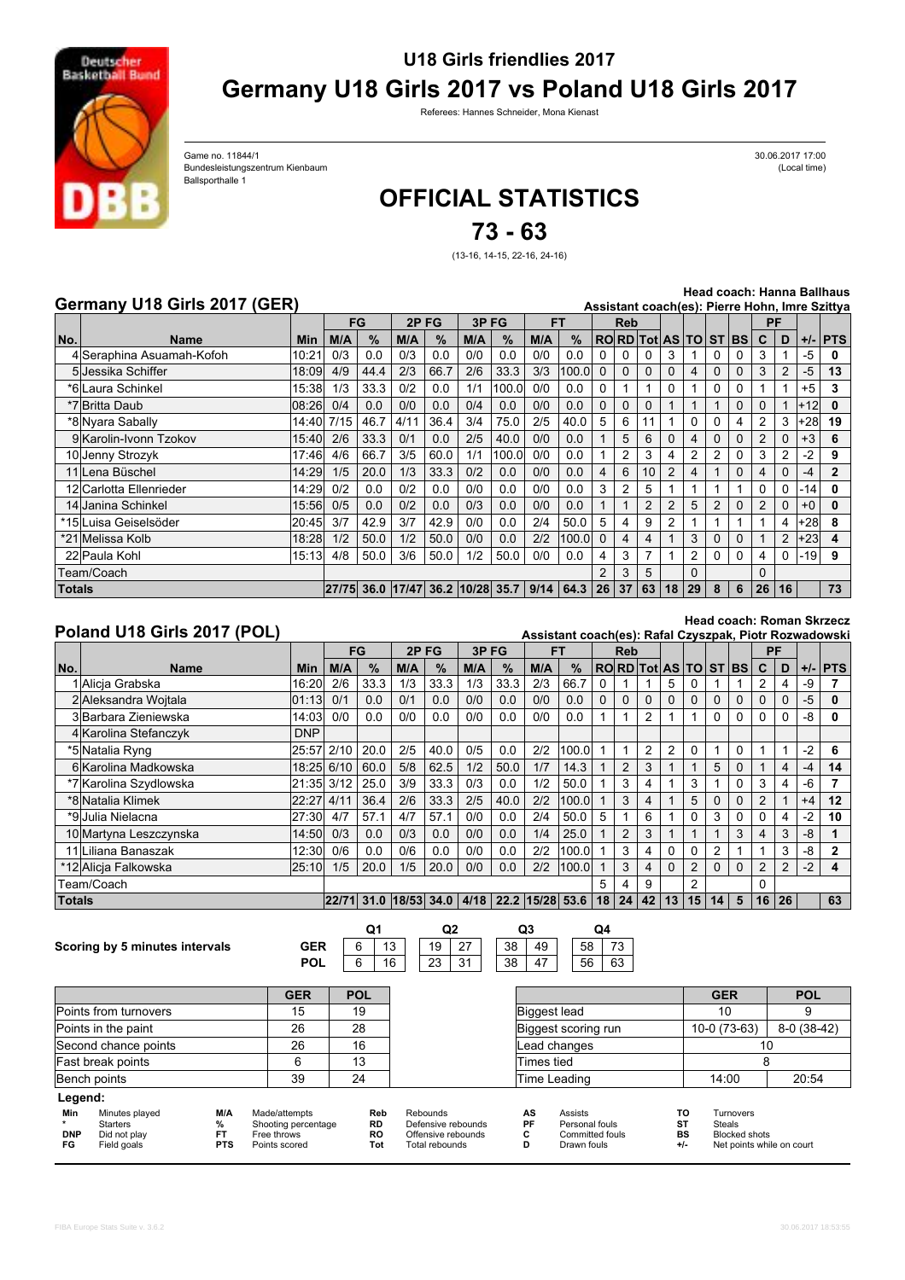

## **U18 Girls friendlies 2017 Germany U18 Girls 2017 vs Poland U18 Girls 2017**

Referees: Hannes Schneider, Mona Kienast

Bundesleistungszentrum Kienbaum (Local time) (Cocal time) (Cocal time) (Cocal time) Game no. 11844/1 Ballsporthalle 1

30.06.2017 17:00

# **OFFICIAL STATISTICS**

**73 - 63**

(13-16, 14-15, 22-16, 24-16)

### **Germany U18 Girls 2017 (GER)**

**Head coach: Hanna Ballhaus**

| Germany U18 Girls 2017 (GER)<br>Assistant coach(es): Pierre Hohn, Imre Szittya |                           |             |     |      |                                  |      |      |       |     |             |            |              |          |                      |          |   |          |                |          |         |              |
|--------------------------------------------------------------------------------|---------------------------|-------------|-----|------|----------------------------------|------|------|-------|-----|-------------|------------|--------------|----------|----------------------|----------|---|----------|----------------|----------|---------|--------------|
|                                                                                |                           |             | FG  |      | 2PFG                             |      | 3PFG |       | FT  |             | <b>Reb</b> |              |          |                      |          |   |          |                | PF       |         |              |
| No.                                                                            | Name                      | <b>Min</b>  | M/A | $\%$ | M/A                              | $\%$ | M/A  | $\%$  | M/A | $\%$        |            |              |          | RORD Tot AS TO ST BS |          |   |          | C              | D        |         | $+/-$ PTS    |
|                                                                                | 4 Seraphina Asuamah-Kofoh | 10:21       | 0/3 | 0.0  | 0/3                              | 0.0  | 0/0  | 0.0   | 0/0 | 0.0         |            |              |          | 3.                   |          |   |          |                |          | -5      | 0            |
|                                                                                | 5 Jessika Schiffer        | 18:09       | 4/9 | 44.4 | 2/3                              | 66.7 | 2/6  | 33.3  | 3/3 | 100.0       | $\Omega$   | $\Omega$     | 0        | 0                    | 4        | 0 |          |                |          | -5      | 13           |
|                                                                                | *6 Laura Schinkel         | 15:38       | 1/3 | 33.3 | 0/2                              | 0.0  | 1/1  | 100.0 | 0/0 | 0.0         | 0          |              |          | 0                    |          | 0 | 0        |                |          | $+5$    | 3            |
|                                                                                | 08:26<br>*7 Britta Daub   |             | 0/4 | 0.0  | 0/0                              | 0.0  | 0/4  | 0.0   | 0/0 | 0.0         | $\Omega$   | <sup>0</sup> | $\Omega$ |                      |          |   | $\Omega$ | 0              |          | $+12$   | 0            |
|                                                                                | *8 Nyara Sabally          | 14:40  7/15 |     | 46.7 | 4/11                             | 36.4 | 3/4  | 75.0  | 2/5 | 40.0        | 5          | 6            | 11       |                      | 0        | 0 | 4        | 2              | 3        | $+28$   | 19           |
|                                                                                | 9 Karolin-Ivonn Tzokov    | 15:40       | 2/6 | 33.3 | 0/1                              | 0.0  | 2/5  | 40.0  | 0/0 | 0.0         |            | 5            | 6        | 0                    | 4        | 0 | $\Omega$ | $\overline{2}$ | $\Omega$ | $+3$    | 6            |
|                                                                                | 10 Jenny Strozyk          | 17:46       | 4/6 | 66.7 | 3/5                              | 60.0 | 1/1  | 100.0 | 0/0 | 0.0         |            |              | 3        |                      | 2        |   |          | 3              |          | -2      | 9            |
|                                                                                | 11 Lena Büschel           | 14:29       | 1/5 | 20.0 | 1/3                              | 33.3 | 0/2  | 0.0   | 0/0 | 0.0         | 4          | 6            | 10       | 2                    | 4        |   | $\Omega$ | 4              | $\Omega$ | -4      | $\mathbf{2}$ |
|                                                                                | 12 Carlotta Ellenrieder   | 14:29       | 0/2 | 0.0  | 0/2                              | 0.0  | 0/0  | 0.0   | 0/0 | 0.0         | 3          | 2            | 5        |                      |          |   |          |                | $\Omega$ | -14     | 0            |
|                                                                                | 14 Janina Schinkel        | 15:56       | 0/5 | 0.0  | 0/2                              | 0.0  | 0/3  | 0.0   | 0/0 | 0.0         |            |              | 2        | $\overline{2}$       | 5        | 2 | $\Omega$ | $\overline{2}$ | $\Omega$ | $+0$    | 0            |
|                                                                                | *15lLuisa Geiselsöder     | 20:45       | 3/7 | 42.9 | 3/7                              | 42.9 | 0/0  | 0.0   | 2/4 | 50.0        | 5          | 4            | 9        | 2                    |          |   |          |                | 4        | $+28$   | 8            |
|                                                                                | *21lMelissa Kolb          | 18:28       | 1/2 | 50.0 | 1/2                              | 50.0 | 0/0  | 0.0   | 2/2 | 100.0       |            | 4            | 4        |                      | 3        | 0 | $\Omega$ |                | 2        | $ +23 $ | 4            |
|                                                                                | 22 Paula Kohl             | 15:13       | 4/8 | 50.0 | 3/6                              | 50.0 | 1/2  | 50.0  | 0/0 | 0.0         | 4          | 3            |          |                      | 2        | 0 | $\Omega$ | 4              | 0        | $-19$   | 9            |
| Team/Coach                                                                     |                           |             |     |      |                                  |      |      | 2     |     | 5           |            | $\Omega$     |          |                      | $\Omega$ |   |          |                |          |         |              |
| <b>Totals</b>                                                                  |                           |             |     |      | 27/75 36.0 17/47 36.2 10/28 35.7 |      |      |       |     | $9/14$ 64.3 | 26         | 37           | 63       | 18                   | 29       | 8 | 6        | 26             | 16       |         | 73           |

#### **Poland U18 Girls 2017 (POL)**

**Head coach: Roman Skrzecz Assistant coach(es): Rafal Czyszpak, Piotr Rozwadowski**

| ASSIStant COACH(63). INGIAI OZYSZDAN, FIOLI INOZWACIOWSNI |                        |            |            |      |     |               |      |      |     |                                      |                      |          |          |          |                |          |          |    |                |      |              |
|-----------------------------------------------------------|------------------------|------------|------------|------|-----|---------------|------|------|-----|--------------------------------------|----------------------|----------|----------|----------|----------------|----------|----------|----|----------------|------|--------------|
|                                                           |                        |            |            | FG   |     | 2PFG          | 3PFG |      |     | FT                                   | <b>Reb</b>           |          |          |          |                |          |          | PF |                |      |              |
| No.                                                       | <b>Name</b>            | Min        | M/A        | %    | M/A | $\frac{9}{6}$ | M/A  | $\%$ | M/A | $\%$                                 | RORD Tot AS TO ST BS |          |          |          |                |          |          | C  | D              |      | $+/-$ PTS    |
|                                                           | 1 Alicia Grabska       | 16:20      | 2/6        | 33.3 | 1/3 | 33.3          | 1/3  | 33.3 | 2/3 | 66.7                                 |                      |          |          | 5        | 0              |          |          |    |                | -9   |              |
|                                                           | 2 Aleksandra Wojtala   | 01:13      | 0/1        | 0.0  | 0/1 | 0.0           | 0/0  | 0.0  | 0/0 | 0.0                                  | $\Omega$             | $\Omega$ | $\Omega$ | $\Omega$ | $\Omega$       | $\Omega$ | $\Omega$ |    |                | $-5$ | $\bf{0}$     |
|                                                           | 3 Barbara Zieniewska   | 14:03      | 0/0        | 0.0  | 0/0 | 0.0           | 0/0  | 0.0  | 0/0 | 0.0                                  |                      |          | 2        |          |                | 0        | 0        |    |                | -8   | 0            |
|                                                           | 4 Karolina Stefanczyk  | <b>DNP</b> |            |      |     |               |      |      |     |                                      |                      |          |          |          |                |          |          |    |                |      |              |
|                                                           | *5 Natalia Ryng        | 25:57 2/10 |            | 20.0 | 2/5 | 40.0          | 0/5  | 0.0  | 2/2 | 100.0                                |                      |          | 2        | 2        | $\Omega$       |          | $\Omega$ |    |                | $-2$ | 6            |
|                                                           | 6 Karolina Madkowska   |            | 18:25 6/10 | 60.0 | 5/8 | 62.5          | 1/2  | 50.0 | 1/7 | 14.3                                 |                      | 2        | 3        |          |                | 5        | 0        |    | 4              | -4   | 14           |
|                                                           | *7 Karolina Szydlowska | 21:35 3/12 |            | 25.0 | 3/9 | 33.3          | 0/3  | 0.0  | 1/2 | 50.0                                 |                      | 3        | 4        |          | 3              |          | $\Omega$ | 3  |                | -6   |              |
|                                                           | *8 Natalia Klimek      | 22:27      | 4/11       | 36.4 | 2/6 | 33.3          | 2/5  | 40.0 | 2/2 | 100.0                                |                      | 3        | 4        |          | 5              | 0        | 0        |    |                | $+4$ | 12           |
|                                                           | *9 Julia Nielacna      | 27:30      | 4/7        | 57.1 | 4/7 | 57.1          | 0/0  | 0.0  | 2/4 | 50.0                                 | 5                    |          | 6        |          | 0              | 3        | $\Omega$ | 0  | 4              | -2   | 10           |
|                                                           | 10 Martyna Leszczynska | 14:50      | 0/3        | 0.0  | 0/3 | 0.0           | 0/0  | 0.0  | 1/4 | 25.0                                 |                      | 2        | 3        |          |                |          | 3        |    | 3              | -8   |              |
|                                                           | 11 Liliana Banaszak    | 12:30      | 0/6        | 0.0  | 0/6 | 0.0           | 0/0  | 0.0  | 2/2 | 100.0                                |                      | 3        | 4        | 0        | 0              | 2        |          |    | 3              | -8   | $\mathbf{2}$ |
|                                                           | *12 Alicia Falkowska   | 25:10      | 1/5        | 20.0 | 1/5 | 20.0          | 0/0  | 0.0  | 2/2 | 1100.0                               |                      | 3        | 4        | $\Omega$ | $\overline{2}$ | 0        | $\Omega$ |    | $\overline{2}$ | $-2$ | 4            |
| Team/Coach                                                |                        |            |            |      |     |               |      |      |     |                                      | 5                    | 4        | 9        |          | $\mathfrak{p}$ |          |          | 0  |                |      |              |
| Totals                                                    |                        |            | 22/71      |      |     |               |      |      |     | 31.0 18/53 34.0 4/18 22.2 15/28 53.6 | 18                   | 24       | 42       | 13       | 15             | 14       | 5        | 16 | 26             |      | 63           |
|                                                           |                        |            |            |      |     |               |      |      |     |                                      |                      |          |          |          |                |          |          |    |                |      |              |

#### **Scoring by 5 minutes intervals GER**

**POL**  $6$  $6 \mid 16$ 13 19 27 23 31

38 47  $\begin{array}{|c|c|c|c|c|}\n\hline\n38 & 49 \\
\hline\n\end{array}$ 49 | | 58 | 73 56 63 **Q1 Q2 Q3 Q4**

|                         |                                                           |                                     | <b>GER</b>                                                           | <b>POL</b>                           |                                                                        |                    |                                                                    |                        |                                                                          | <b>POL</b>   |  |
|-------------------------|-----------------------------------------------------------|-------------------------------------|----------------------------------------------------------------------|--------------------------------------|------------------------------------------------------------------------|--------------------|--------------------------------------------------------------------|------------------------|--------------------------------------------------------------------------|--------------|--|
| Points from turnovers   |                                                           |                                     | 15                                                                   | 19                                   |                                                                        |                    | Biggest lead                                                       |                        | 10                                                                       |              |  |
| Points in the paint     |                                                           |                                     | 26                                                                   | 28                                   | Biggest scoring run                                                    |                    |                                                                    |                        | 10-0 (73-63)                                                             | $8-0(38-42)$ |  |
| Second chance points    |                                                           |                                     | 26                                                                   | 16                                   |                                                                        | Lead changes       |                                                                    |                        |                                                                          | 10           |  |
| Fast break points       |                                                           |                                     | 6                                                                    | 13                                   |                                                                        | Times tied         |                                                                    |                        |                                                                          |              |  |
|                         | Bench points<br>39                                        |                                     |                                                                      | 24                                   |                                                                        | Time Leading       |                                                                    | 14:00                  | 20:54                                                                    |              |  |
| Legend:                 |                                                           |                                     |                                                                      |                                      |                                                                        |                    |                                                                    |                        |                                                                          |              |  |
| Min<br><b>DNP</b><br>FG | Minutes played<br>Starters<br>Did not play<br>Field goals | M/A<br>%<br><b>FT</b><br><b>PTS</b> | Made/attempts<br>Shooting percentage<br>Free throws<br>Points scored | Reb<br><b>RD</b><br><b>RO</b><br>Tot | Rebounds<br>Defensive rebounds<br>Offensive rebounds<br>Total rebounds | AS<br>PF<br>С<br>D | <b>Assists</b><br>Personal fouls<br>Committed fouls<br>Drawn fouls | ΤО<br>ST<br>BS<br>$+1$ | Turnovers<br>Steals<br><b>Blocked shots</b><br>Net points while on court |              |  |